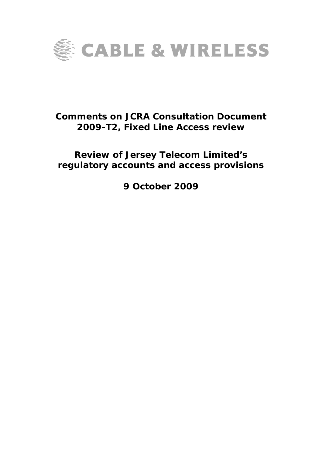

# **Comments on JCRA Consultation Document 2009-T2, Fixed Line Access review**

# **Review of Jersey Telecom Limited's regulatory accounts and access provisions**

**9 October 2009**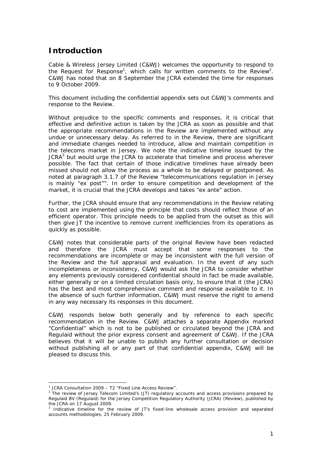## **Introduction**

Cable & Wireless Jersey Limited (C&WJ) welcomes the opportunity to respond to the Request for Response<sup>1</sup>, which calls for written comments to the Review<sup>2</sup>. C&WJ has noted that on 8 September the JCRA extended the time for responses to 9 October 2009.

This document including the confidential appendix sets out C&WJ's comments and response to the Review.

Without prejudice to the specific comments and responses, it is critical that effective and definitive action is taken by the JCRA as soon as possible and that the appropriate recommendations in the Review are implemented without any undue or unnecessary delay. As referred to in the Review, there are significant and immediate changes needed to introduce, allow and maintain competition in the telecoms market in Jersey. We note the indicative timeline issued by the JCRA $3$  but would urge the JCRA to accelerate that timeline and process wherever possible. The fact that certain of those indicative timelines have already been missed should not allow the process as a whole to be delayed or postponed. As noted at paragraph 3.1.7 of the Review "*telecommunications regulation in Jersey is mainly "ex post""*. In order to ensure competition and development of the market, it is crucial that the JCRA develops and takes "ex ante" action.

Further, the JCRA should ensure that any recommendations in the Review relating to cost are implemented using the principle that costs should reflect those of an efficient operator. This principle needs to be applied from the outset as this will then give JT the incentive to remove current inefficiencies from its operations as quickly as possible.

C&WJ notes that considerable parts of the original Review have been redacted and therefore the JCRA must accept that some responses to the recommendations are incomplete or may be inconsistent with the full version of the Review and the full appraisal and evaluation. In the event of any such incompleteness or inconsistency, C&WJ would ask the JCRA to consider whether any elements previously considered confidential should in fact be made available, either generally or on a limited circulation basis only, to ensure that it (the JCRA) has the best and most comprehensive comment and response available to it. In the absence of such further information, C&WJ must reserve the right to amend in any way necessary its responses in this document.

C&WJ responds below both generally and by reference to each specific recommendation in the Review. C&WJ attaches a separate Appendix marked "Confidential" which is not to be published or circulated beyond the JCRA and Regulaid without the prior express consent and agreement of C&WJ. If the JCRA believes that it will be unable to publish any further consultation or decision without publishing all or any part of that confidential appendix, C&WJ will be pleased to discuss this.

i,

<sup>&</sup>lt;sup>1</sup> JCRA Consultation 2009 - T2 "Fixed Line Access Review".

<sup>&</sup>lt;sup>2</sup> The review of Jersey Telecom Limited's (JT) regulatory accounts and access provisions prepared by Regulaid BV (Regulaid) for the Jersey Competition Regulatory Authority (JCRA) (Review), published by the JCRA on 17 August 2009.

<sup>&</sup>lt;sup>3</sup> Indicative timeline for the review of JT's fixed-line wholesale access provision and separated accounts methodologies, 25 February 2009.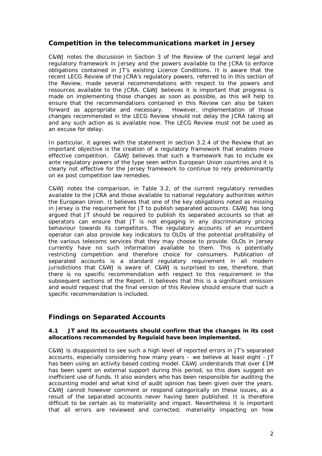## **Competition in the telecommunications market in Jersey**

C&WJ notes the discussion in Section 3 of the Review of the current legal and regulatory framework in Jersey and the powers available to the JCRA to enforce obligations contained in JT's existing Licence Conditions. It is aware that the recent LECG Review of the JCRA's regulatory powers, referred to in this section of the Review, made several recommendations with respect to the powers and resources available to the JCRA. C&WJ believes it is important that progress is made on implementing those changes as soon as possible, as this will help to ensure that the recommendations contained in this Review can also be taken forward as appropriate and necessary. However, implementation of those changes recommended in the LECG Review should not delay the JCRA taking all and any such action as is available now. The LECG Review must not be used as an excuse for delay.

In particular, it agrees with the statement in section 3.2.4 of the Review that an important objective is the creation of a regulatory framework that enables more effective competition. C&WJ believes that such a framework has to include ex ante regulatory powers of the type seen within European Union countries and it is clearly not effective for the Jersey framework to continue to rely predominantly on ex post competition law remedies.

C&WJ notes the comparison, in Table 3.2, of the current regulatory remedies available to the JCRA and those available to national regulatory authorities within the European Union. It believes that one of the key obligations noted as missing in Jersey is the requirement for JT to publish separated accounts. C&WJ has long argued that JT should be required to publish its separated accounts so that all operators can ensure that JT is not engaging in any discriminatory pricing behaviour towards its competitors. The regulatory accounts of an incumbent operator can also provide key indicators to OLOs of the potential profitability of the various telecoms services that they may choose to provide. OLOs in Jersey currently have no such information available to them. This is potentially restricting competition and therefore choice for consumers. Publication of separated accounts is a standard regulatory requirement in all modern jurisdictions that C&WJ is aware of. C&WJ is surprised to see, therefore, that there is no specific recommendation with respect to this requirement in the subsequent sections of the Report. It believes that this is a significant omission and would request that the final version of this Review should ensure that such a specific recommendation is included.

## **Findings on Separated Accounts**

#### **4.1 JT and its accountants should confirm that the changes in its cost allocations recommended by Regulaid have been implemented.**

C&WJ is disappointed to see such a high level of reported errors in JT's separated accounts, especially considering how many years – we believe at least eight - JT has been using an activity based costing model. C&WJ understands that over £1M has been spent on external support during this period, so this does suggest an inefficient use of funds. It also wonders who has been responsible for auditing the accounting model and what kind of audit opinion has been given over the years. C&WJ cannot however comment or respond categorically on these issues, as a result of the separated accounts never having been published. It is therefore difficult to be certain as to materiality and impact. Nevertheless it is important that all errors are reviewed and corrected; materiality impacting on how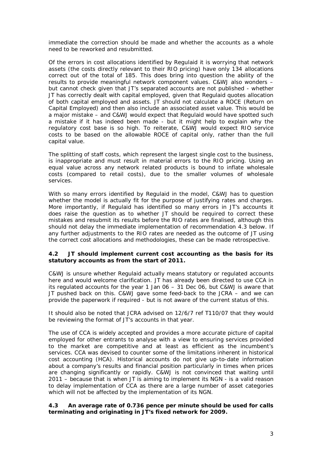immediate the correction should be made and whether the accounts as a whole need to be reworked and resubmitted.

Of the errors in cost allocations identified by Regulaid it is worrying that network assets (the costs directly relevant to their RIO pricing) have only 134 allocations correct out of the total of 185. This does bring into question the ability of the results to provide meaningful network component values. C&WJ also wonders – but cannot check given that JT's separated accounts are not published - whether JT has correctly dealt with capital employed, given that Regulaid quotes allocation of both capital employed and assets. JT should not calculate a ROCE (Return on Capital Employed) and then also include an associated asset value. This would be a major mistake – and C&WJ would expect that Regulaid would have spotted such a mistake if it has indeed been made - but it might help to explain why the regulatory cost base is so high. To reiterate, C&WJ would expect RIO service costs to be based on the allowable ROCE of capital only, rather than the full capital value.

The splitting of staff costs, which represent the largest single cost to the business, is inappropriate and must result in material errors to the RIO pricing. Using an equal value across any network related products is bound to inflate wholesale costs (compared to retail costs), due to the smaller volumes of wholesale services.

With so many errors identified by Regulaid in the model, C&WJ has to question whether the model is actually fit for the purpose of justifying rates and charges. More importantly, if Regulaid has identified so many errors in JT's accounts it does raise the question as to whether JT should be required to correct these mistakes and resubmit its results before the RIO rates are finalised, although this should not delay the immediate implementation of recommendation 4.3 below. If any further adjustments to the RIO rates are needed as the outcome of JT using the correct cost allocations and methodologies, these can be made retrospective.

#### **4.2 JT should implement current cost accounting as the basis for its statutory accounts as from the start of 2011.**

C&WJ is unsure whether Regulaid actually means statutory or regulated accounts here and would welcome clarification. JT has already been directed to use CCA in its regulated accounts for the year 1 Jan 06 – 31 Dec 06, but C&WJ is aware that JT pushed back on this. C&WJ gave some feed-back to the JCRA – and we can provide the paperwork if required - but is not aware of the current status of this.

It should also be noted that JCRA advised on 12/6/7 ref T110/07 that they would be reviewing the format of JT's accounts in that year.

The use of CCA is widely accepted and provides a more accurate picture of capital employed for other entrants to analyse with a view to ensuring services provided to the market are competitive and at least as efficient as the incumbent's services. CCA was devised to counter some of the limitations inherent in historical cost accounting (HCA). Historical accounts do not give up-to-date information about a company's results and financial position particularly in times when prices are changing significantly or rapidly. C&WJ is not convinced that waiting until 2011 – because that is when JT is *aiming* to implement its NGN - is a valid reason to delay implementation of CCA as there are a large number of asset categories which will not be affected by the implementation of its NGN.

#### **4.3 An average rate of 0.736 pence per minute should be used for calls terminating and originating in JT's fixed network for 2009.**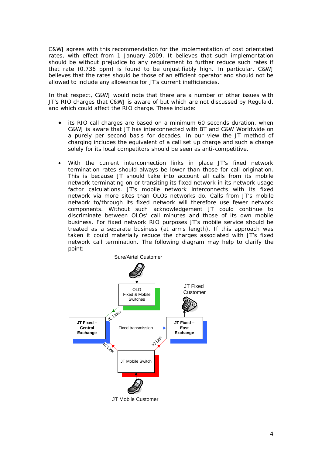C&WJ agrees with this recommendation for the implementation of cost orientated rates, with effect from 1 January 2009. It believes that such implementation should be without prejudice to any requirement to further reduce such rates if that rate (0.736 ppm) is found to be unjustifiably high. In particular, C&WJ believes that the rates should be those of an efficient operator and should not be allowed to include any allowance for JT's current inefficiencies.

In that respect, C&WJ would note that there are a number of other issues with JT's RIO charges that C&WJ is aware of but which are not discussed by Regulaid, and which could affect the RIO charge. These include:

- its RIO call charges are based on a minimum 60 seconds duration, when C&WJ is aware that JT has interconnected with BT and C&W Worldwide on a purely per second basis for decades. In our view the JT method of charging includes the equivalent of a call set up charge and such a charge solely for its local competitors should be seen as anti-competitive.
- With the current interconnection links in place JT's fixed network termination rates should always be lower than those for call origination. This is because JT should take into account all calls from its mobile network terminating on or transiting its fixed network in its network usage factor calculations. JT's mobile network interconnects with its fixed network via more sites than OLOs networks do. Calls from JT's mobile network to/through its fixed network will therefore use fewer network components. Without such acknowledgement JT could continue to discriminate between OLOs' call minutes and those of its own mobile business. For fixed network RIO purposes JT's mobile service should be treated as a separate business (at arms length). If this approach was taken it could materially reduce the charges associated with JT's fixed network call termination. The following diagram may help to clarify the point:

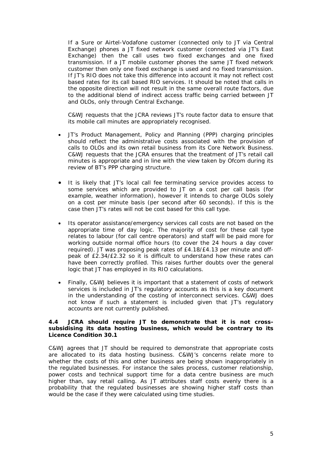If a Sure or Airtel-Vodafone customer (connected only to JT via Central Exchange) phones a JT fixed network customer (connected via JT's East Exchange) then the call uses two fixed exchanges and one fixed transmission. If a JT mobile customer phones the same JT fixed network customer then only one fixed exchange is used and no fixed transmission. If JT's RIO does not take this difference into account it may not reflect cost based rates for its call based RIO services. It should be noted that calls in the opposite direction will not result in the same overall route factors, due to the additional blend of indirect access traffic being carried between JT and OLOs, only through Central Exchange.

C&WJ requests that the JCRA reviews JT's route factor data to ensure that its mobile call minutes are appropriately recognised.

- JT's Product Management, Policy and Planning (PPP) charging principles should reflect the administrative costs associated with the provision of calls to OLOs and its own retail business from its Core Network Business. C&WJ requests that the JCRA ensures that the treatment of JT's retail call minutes is appropriate and in line with the view taken by Ofcom during its review of BT's PPP charging structure.
- It is likely that JT's local call fee terminating service provides access to some services which are provided to JT on a cost per call basis (for example, weather information), however it intends to charge OLOs solely on a cost per minute basis (per second after 60 seconds). If this is the case then JT's rates will not be cost based for this call type.
- Its operator assistance/emergency services call costs are not based on the appropriate time of day logic. The majority of cost for these call type relates to labour (for call centre operators) and staff will be paid more for working outside normal office hours (to cover the 24 hours a day cover required). JT was proposing peak rates of £4.18/£4.13 per minute and offpeak of £2.34/£2.32 so it is difficult to understand how these rates can have been correctly profiled. This raises further doubts over the general logic that JT has employed in its RIO calculations.
- Finally, C&WJ believes it is important that a statement of costs of network services is included in JT's regulatory accounts as this is a key document in the understanding of the costing of interconnect services. C&WJ does not know if such a statement is included given that JT's regulatory accounts are not currently published.

#### **4.4 JCRA should require JT to demonstrate that it is not crosssubsidising its data hosting business, which would be contrary to its Licence Condition 30.1**

C&WJ agrees that JT should be required to demonstrate that appropriate costs are allocated to its data hosting business. C&WJ's concerns relate more to whether the costs of this and other business are being shown inappropriately in the regulated businesses. For instance the sales process, customer relationship, power costs and technical support time for a data centre business are much higher than, say retail calling. As JT attributes staff costs evenly there is a probability that the regulated businesses are showing higher staff costs than would be the case if they were calculated using time studies.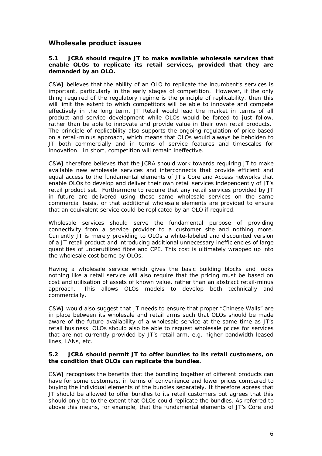### **Wholesale product issues**

#### **5.1 JCRA should require JT to make available wholesale services that enable OLOs to replicate its retail services, provided that they are demanded by an OLO.**

C&WJ believes that the ability of an OLO to replicate the incumbent's services is important, particularly in the early stages of competition. However, if the only thing required of the regulatory regime is the principle of replicability, then this will limit the extent to which competitors will be able to innovate and compete effectively in the long term. JT Retail would lead the market in terms of all product and service development while OLOs would be forced to just follow, rather than be able to innovate and provide value in their own retail products. The principle of replicability also supports the ongoing regulation of price based on a retail-minus approach, which means that OLOs would always be beholden to JT both commercially and in terms of service features and timescales for innovation. In short, competition will remain ineffective.

C&WJ therefore believes that the JCRA should work towards requiring JT to make available new wholesale services and interconnects that provide efficient and equal access to the fundamental elements of JT's Core and Access networks that enable OLOs to develop and deliver their own retail services independently of JT's retail product set. Furthermore to require that any retail services provided by JT in future are delivered using these same wholesale services on the same commercial basis, or that additional wholesale elements are provided to ensure that an equivalent service could be replicated by an OLO if required.

Wholesale services should serve the fundamental purpose of providing connectivity from a service provider to a customer site and nothing more. Currently JT is merely providing to OLOs a white-labeled and discounted version of a JT retail product and introducing additional unnecessary inefficiencies of large quantities of underutilized fibre and CPE. This cost is ultimately wrapped up into the wholesale cost borne by OLOs.

Having a wholesale service which gives the basic building blocks and looks nothing like a retail service will also require that the pricing must be based on cost and utilisation of assets of known value, rather than an abstract retail-minus approach. This allows OLOs models to develop both technically and commercially.

C&WJ would also suggest that JT needs to ensure that proper "Chinese Walls" are in place between its wholesale and retail arms such that OLOs should be made aware of the future availability of a wholesale service at the same time as JT's retail business. OLOs should also be able to request wholesale prices for services that are not currently provided by JT's retail arm, e.g. higher bandwidth leased lines, LANs, etc.

#### **5.2 JCRA should permit JT to offer bundles to its retail customers, on the condition that OLOs can replicate the bundles.**

C&WJ recognises the benefits that the bundling together of different products can have for some customers, in terms of convenience and lower prices compared to buying the individual elements of the bundles separately. It therefore agrees that JT should be allowed to offer bundles to its retail customers but agrees that this should only be to the extent that OLOs could replicate the bundles. As referred to above this means, for example, that the fundamental elements of JT's Core and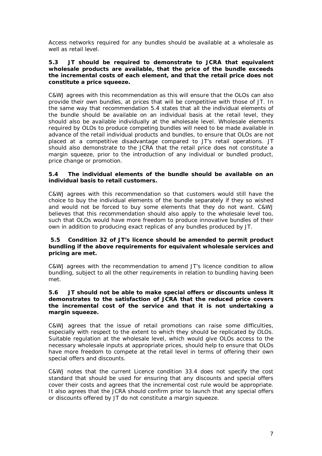Access networks required for any bundles should be available at a wholesale as well as retail level.

#### **5.3 JT should be required to demonstrate to JCRA that equivalent wholesale products are available, that the price of the bundle exceeds the incremental costs of each element, and that the retail price does not constitute a price squeeze.**

C&WJ agrees with this recommendation as this will ensure that the OLOs can also provide their own bundles, at prices that will be competitive with those of JT. In the same way that recommendation 5.4 states that all the individual elements of the bundle should be available on an individual basis at the retail level, they should also be available individually at the wholesale level. Wholesale elements required by OLOs to produce competing bundles will need to be made available in advance of the retail individual products and bundles, to ensure that OLOs are not placed at a competitive disadvantage compared to JT's retail operations. JT should also demonstrate to the JCRA that the retail price does not constitute a margin squeeze, prior to the introduction of any individual or bundled product, price change or promotion.

#### **5.4 The individual elements of the bundle should be available on an individual basis to retail customers.**

C&WJ agrees with this recommendation so that customers would still have the choice to buy the individual elements of the bundle separately if they so wished and would not be forced to buy some elements that they do not want. C&WJ believes that this recommendation should also apply to the wholesale level too, such that OLOs would have more freedom to produce innovative bundles of their own in addition to producing exact replicas of any bundles produced by JT.

#### **5.5 Condition 32 of JT's licence should be amended to permit product bundling if the above requirements for equivalent wholesale services and pricing are met.**

C&WJ agrees with the recommendation to amend JT's licence condition to allow bundling, subject to all the other requirements in relation to bundling having been met.

#### **5.6 JT should not be able to make special offers or discounts unless it demonstrates to the satisfaction of JCRA that the reduced price covers the incremental cost of the service and that it is not undertaking a margin squeeze.**

C&WJ agrees that the issue of retail promotions can raise some difficulties, especially with respect to the extent to which they should be replicated by OLOs. Suitable regulation at the wholesale level, which would give OLOs access to the necessary wholesale inputs at appropriate prices, should help to ensure that OLOs have more freedom to compete at the retail level in terms of offering their own special offers and discounts.

C&WJ notes that the current Licence condition 33.4 does not specify the cost standard that should be used for ensuring that any discounts and special offers cover their costs and agrees that the incremental cost rule would be appropriate. It also agrees that the JCRA should confirm prior to launch that any special offers or discounts offered by JT do not constitute a margin squeeze.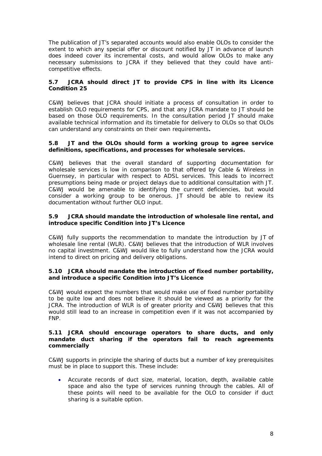The publication of JT's separated accounts would also enable OLOs to consider the extent to which any special offer or discount notified by JT in advance of launch does indeed cover its incremental costs, and would allow OLOs to make any necessary submissions to JCRA if they believed that they could have anticompetitive effects.

#### **5.7 JCRA should direct JT to provide CPS in line with its Licence Condition 25**

C&WJ believes that JCRA should initiate a process of consultation in order to establish OLO requirements for CPS, and that any JCRA mandate to JT should be based on those OLO requirements. In the consultation period JT should make available technical information and its timetable for delivery to OLOs so that OLOs can understand any constraints on their own requirements*.*

#### **5.8 JT and the OLOs should form a working group to agree service definitions, specifications, and processes for wholesale services.**

C&WJ believes that the overall standard of supporting documentation for wholesale services is low in comparison to that offered by Cable & Wireless in Guernsey, in particular with respect to ADSL services. This leads to incorrect presumptions being made or project delays due to additional consultation with JT. C&WJ would be amenable to identifying the current deficiencies, but would consider a working group to be onerous. JT should be able to review its documentation without further OLO input.

#### **5.9 JCRA should mandate the introduction of wholesale line rental, and introduce specific Condition into JT's Licence**

C&WJ fully supports the recommendation to mandate the introduction by JT of wholesale line rental (WLR). C&WJ believes that the introduction of WLR involves no capital investment. C&WJ would like to fully understand how the JCRA would intend to direct on pricing and delivery obligations.

#### **5.10 JCRA should mandate the introduction of fixed number portability, and introduce a specific Condition into JT's Licence**

C&WJ would expect the numbers that would make use of fixed number portability to be quite low and does not believe it should be viewed as a priority for the JCRA. The introduction of WLR is of greater priority and C&WJ believes that this would still lead to an increase in competition even if it was not accompanied by FNP.

#### **5.11 JCRA should encourage operators to share ducts, and only mandate duct sharing if the operators fail to reach agreements commercially**

C&WJ supports in principle the sharing of ducts but a number of key prerequisites must be in place to support this. These include:

 Accurate records of duct size, material, location, depth, available cable space and also the type of services running through the cables. All of these points will need to be available for the OLO to consider if duct sharing is a suitable option.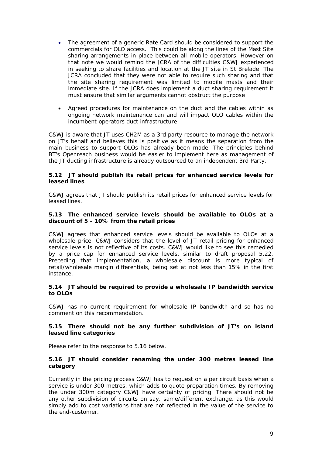- The agreement of a generic Rate Card should be considered to support the commercials for OLO access. This could be along the lines of the Mast Site sharing arrangements in place between all mobile operators. However on that note we would remind the JCRA of the difficulties C&WJ experienced in seeking to share facilities and location at the JT site in St Brelade. The JCRA concluded that they were not able to require such sharing and that the site sharing requirement was limited to mobile masts and their immediate site. If the JCRA does implement a duct sharing requirement it must ensure that similar arguments cannot obstruct the purpose
- Agreed procedures for maintenance on the duct and the cables within as ongoing network maintenance can and will impact OLO cables within the incumbent operators duct infrastructure

C&WJ is aware that JT uses CH2M as a 3rd party resource to manage the network on JT's behalf and believes this is positive as it means the separation from the main business to support OLOs has already been made. The principles behind BT's Openreach business would be easier to implement here as management of the JT ducting infrastructure is already outsourced to an independent 3rd Party.

#### **5.12 JT should publish its retail prices for enhanced service levels for leased lines**

C&WJ agrees that JT should publish its retail prices for enhanced service levels for leased lines.

#### **5.13 The enhanced service levels should be available to OLOs at a discount of 5 - 10% from the retail prices**

C&WJ agrees that enhanced service levels should be available to OLOs at a wholesale price. C&WJ considers that the level of JT retail pricing for enhanced service levels is not reflective of its costs. C&WJ would like to see this remedied by a price cap for enhanced service levels, similar to draft proposal 5.22. Preceding that implementation, a wholesale discount is more typical of retail/wholesale margin differentials, being set at not less than 15% in the first instance.

#### **5.14 JT should be required to provide a wholesale IP bandwidth service to OLOs**

C&WJ has no current requirement for wholesale IP bandwidth and so has no comment on this recommendation.

#### **5.15 There should not be any further subdivision of JT's on island leased line categories**

Please refer to the response to 5.16 below.

#### **5.16 JT should consider renaming the under 300 metres leased line category**

Currently in the pricing process C&WJ has to request on a per circuit basis when a service is under 300 metres, which adds to quote preparation times. By removing the under 300m category C&WJ have certainty of pricing. There should not be any other subdivision of circuits on say, same/different exchange, as this would simply add to cost variations that are not reflected in the value of the service to the end-customer.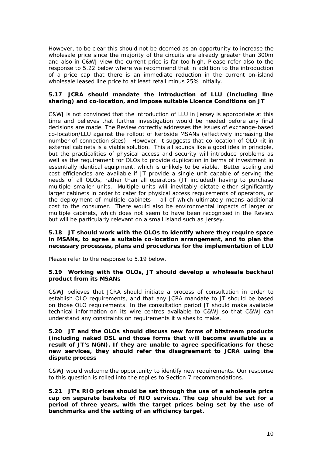However, to be clear this should not be deemed as an opportunity to increase the wholesale price since the majority of the circuits are already greater than 300m and also in C&WJ view the current price is far too high. Please refer also to the response to 5.22 below where we recommend that in addition to the introduction of a price cap that there is an immediate reduction in the current on-island wholesale leased line price to at least retail minus 25% initially.

#### **5.17 JCRA should mandate the introduction of LLU (including line sharing) and co-location, and impose suitable Licence Conditions on JT**

C&WJ is not convinced that the introduction of LLU in Jersey is appropriate at this time and believes that further investigation would be needed before any final decisions are made. The Review correctly addresses the issues of exchange-based co-location/LLU against the rollout of kerbside MSANs (effectively increasing the number of connection sites). However, it suggests that co-location of OLO kit in external cabinets is a viable solution. This all sounds like a good idea in principle, but the practicalities of physical access and security will introduce problems as well as the requirement for OLOs to provide duplication in terms of investment in essentially identical equipment, which is unlikely to be viable. Better scaling and cost efficiencies are available if JT provide a single unit capable of serving the needs of all OLOs, rather than all operators (JT included) having to purchase multiple smaller units. Multiple units will inevitably dictate either significantly larger cabinets in order to cater for physical access requirements of operators, or the deployment of multiple cabinets – all of which ultimately means additional cost to the consumer. There would also be environmental impacts of larger or multiple cabinets, which does not seem to have been recognised in the Review but will be particularly relevant on a small island such as Jersey.

#### **5.18 JT should work with the OLOs to identify where they require space in MSANs, to agree a suitable co-location arrangement, and to plan the necessary processes, plans and procedures for the implementation of LLU**

Please refer to the response to 5.19 below.

#### **5.19 Working with the OLOs, JT should develop a wholesale backhaul product from its MSANs**

C&WJ believes that JCRA should initiate a process of consultation in order to establish OLO requirements, and that any JCRA mandate to JT should be based on those OLO requirements. In the consultation period JT should make available technical information on its wire centres available to C&WJ so that C&WJ can understand any constraints on requirements it wishes to make.

**5.20 JT and the OLOs should discuss new forms of bitstream products (including naked DSL and those forms that will become available as a result of JT's NGN). If they are unable to agree specifications for these new services, they should refer the disagreement to JCRA using the dispute process** 

C&WJ would welcome the opportunity to identify new requirements. Our response to this question is rolled into the replies to Section 7 recommendations.

**5.21 JT's RIO prices should be set through the use of a wholesale price cap on separate baskets of RIO services. The cap should be set for a period of three years, with the target prices being set by the use of benchmarks and the setting of an efficiency target.**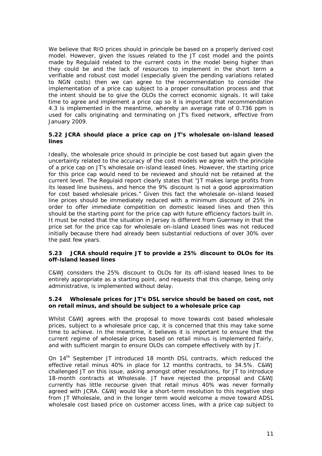We believe that RIO prices should in principle be based on a properly derived cost model. However, given the issues related to the JT cost model and the points made by Regulaid related to the current costs in the model being higher than they could be and the lack of resources to implement in the short term a verifiable and robust cost model (especially given the pending variations related to NGN costs) then we can agree to the recommendation to consider the implementation of a price cap subject to a proper consultation process and that the intent should be to give the OLOs the correct economic signals. It will take time to agree and implement a price cap so it is important that recommendation 4.3 is implemented in the meantime, whereby an average rate of 0.736 ppm is used for calls originating and terminating on JT's fixed network, effective from January 2009.

#### **5.22 JCRA should place a price cap on JT's wholesale on-island leased lines**

Ideally, the wholesale price should in principle be cost based but again given the uncertainty related to the accuracy of the cost models we agree with the principle of a price cap on JT's wholesale on-island leased lines. However, the starting price for this price cap would need to be reviewed and should not be retained at the current level. The Regulaid report clearly states that "JT makes large profits from its leased line business, and hence the 9% discount is not a good approximation for cost based wholesale prices." Given this fact the wholesale on-island leased line prices should be immediately reduced with a minimum discount of 25% in order to offer immediate competition on domestic leased lines and then this should be the starting point for the price cap with future efficiency factors built in. It must be noted that the situation in Jersey is different from Guernsey in that the price set for the price cap for wholesale on-island Leased lines was not reduced initially because there had already been substantial reductions of over 30% over the past few years.

#### **5.23 JCRA should require JT to provide a 25% discount to OLOs for its off-island leased lines**

C&WJ considers the 25% discount to OLOs for its off-island leased lines to be entirely appropriate as a starting point, and requests that this change, being only administrative, is implemented without delay.

#### **5.24 Wholesale prices for JT's DSL service should be based on cost, not on retail minus, and should be subject to a wholesale price cap**

Whilst C&WJ agrees with the proposal to move towards cost based wholesale prices, subject to a wholesale price cap, it is concerned that this may take some time to achieve. In the meantime, it believes it is important to ensure that the current regime of wholesale prices based on retail minus is implemented fairly, and with sufficient margin to ensure OLOs can compete effectively with by JT.

On 14th September JT introduced 18 month DSL contracts, which reduced the effective retail minus 40% in place for 12 months contracts, to 34.5%. C&WJ challenged JT on this issue, asking amongst other resolutions, for JT to introduce 18-month contracts at Wholesale. JT have rejected the proposal and C&WJ currently has little recourse given that retail minus 40% was never formally agreed with JCRA. C&WJ would like a short-term resolution to this negative step from JT Wholesale, and in the longer term would welcome a move toward ADSL wholesale cost based price on customer access lines, with a price cap subject to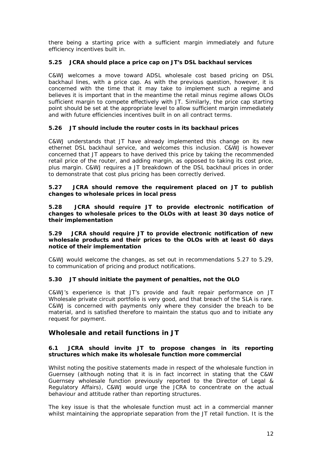there being a starting price with a sufficient margin immediately and future efficiency incentives built in.

#### **5.25 JCRA should place a price cap on JT's DSL backhaul services**

C&WJ welcomes a move toward ADSL wholesale cost based pricing on DSL backhaul lines, with a price cap. As with the previous question, however, it is concerned with the time that it may take to implement such a regime and believes it is important that in the meantime the retail minus regime allows OLOs sufficient margin to compete effectively with JT. Similarly, the price cap starting point should be set at the appropriate level to allow sufficient margin immediately and with future efficiencies incentives built in on all contract terms.

#### **5.26 JT should include the router costs in its backhaul prices**

C&WJ understands that JT have already implemented this change on its new ethernet DSL backhaul service, and welcomes this inclusion. C&WJ is however concerned that JT appears to have derived this price by taking the recommended retail price of the router, and adding margin, as opposed to taking its cost price, plus margin. C&WJ requires a JT breakdown of the DSL backhaul prices in order to demonstrate that cost plus pricing has been correctly derived.

#### **5.27 JCRA should remove the requirement placed on JT to publish changes to wholesale prices in local press**

**5.28 JCRA should require JT to provide electronic notification of changes to wholesale prices to the OLOs with at least 30 days notice of their implementation**

#### **5.29 JCRA should require JT to provide electronic notification of new wholesale products and their prices to the OLOs with at least 60 days notice of their implementation**

C&WJ would welcome the changes, as set out in recommendations 5.27 to 5.29, to communication of pricing and product notifications.

#### **5.30 JT should initiate the payment of penalties, not the OLO**

C&WJ's experience is that JT's provide and fault repair performance on JT Wholesale private circuit portfolio is very good, and that breach of the SLA is rare. C&WJ is concerned with payments only where they consider the breach to be material, and is satisfied therefore to maintain the status quo and to initiate any request for payment.

#### **Wholesale and retail functions in JT**

#### **6.1 JCRA should invite JT to propose changes in its reporting structures which make its wholesale function more commercial**

Whilst noting the positive statements made in respect of the wholesale function in Guernsey (although noting that it is in fact incorrect in stating that the C&W Guernsey wholesale function previously reported to the Director of Legal & Regulatory Affairs), C&WJ would urge the JCRA to concentrate on the actual behaviour and attitude rather than reporting structures.

The key issue is that the wholesale function must act in a commercial manner whilst maintaining the appropriate separation from the JT retail function. It is the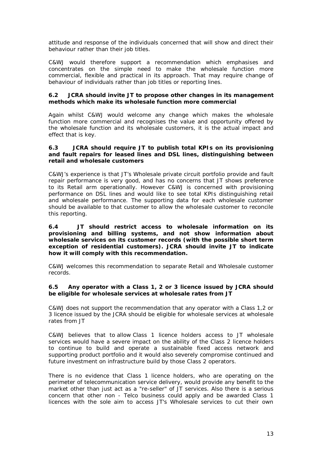attitude and response of the individuals concerned that will show and direct their behaviour rather than their job titles.

C&WJ would therefore support a recommendation which emphasises and concentrates on the simple need to make the wholesale function more commercial, flexible and practical in its approach. That may require change of behaviour of individuals rather than job titles or reporting lines.

#### **6.2 JCRA should invite JT to propose other changes in its management methods which make its wholesale function more commercial**

Again whilst C&WJ would welcome any change which makes the wholesale function more commercial and recognises the value and opportunity offered by the wholesale function and its wholesale customers, it is the actual impact and effect that is key.

#### **6.3 JCRA should require JT to publish total KPIs on its provisioning and fault repairs for leased lines and DSL lines, distinguishing between retail and wholesale customers**

C&WJ's experience is that JT's Wholesale private circuit portfolio provide and fault repair performance is very good, and has no concerns that JT shows preference to its Retail arm operationally. However C&WJ is concerned with provisioning performance on DSL lines and would like to see total KPIs distinguishing retail and wholesale performance. The supporting data for each wholesale customer should be available to that customer to allow the wholesale customer to reconcile this reporting.

#### **6.4 JT should restrict access to wholesale information on its provisioning and billing systems, and not show information about wholesale services on its customer records (with the possible short term exception of residential customers). JCRA should invite JT to indicate how it will comply with this recommendation.**

C&WJ welcomes this recommendation to separate Retail and Wholesale customer records.

#### **6.5 Any operator with a Class 1, 2 or 3 licence issued by JCRA should be eligible for wholesale services at wholesale rates from JT**

C&WJ does not support the recommendation that any operator with a Class 1,2 or 3 licence issued by the JCRA should be eligible for wholesale services at wholesale rates from JT

C&WJ believes that to allow Class 1 licence holders access to JT wholesale services would have a severe impact on the ability of the Class 2 licence holders to continue to build and operate a sustainable fixed access network and supporting product portfolio and it would also severely compromise continued and future investment on infrastructure build by those Class 2 operators.

There is no evidence that Class 1 licence holders, who are operating on the perimeter of telecommunication service delivery, would provide any benefit to the market other than just act as a "re-seller" of JT services. Also there is a serious concern that other non - Telco business could apply and be awarded Class 1 licences with the sole aim to access JT's Wholesale services to cut their own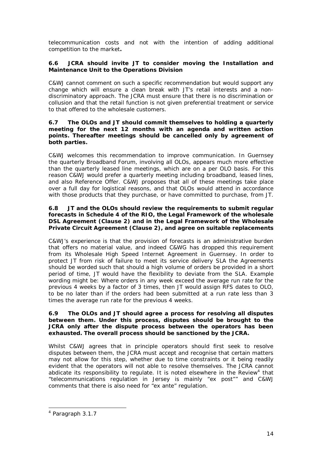telecommunication costs and not with the intention of adding additional competition to the market*.*

#### **6.6 JCRA should invite JT to consider moving the Installation and Maintenance Unit to the Operations Division**

C&WJ cannot comment on such a specific recommendation but would support any change which will ensure a clean break with JT's retail interests and a nondiscriminatory approach. The JCRA must ensure that there is no discrimination or collusion and that the retail function is not given preferential treatment or service to that offered to the wholesale customers.

#### **6.7 The OLOs and JT should commit themselves to holding a quarterly meeting for the next 12 months with an agenda and written action points. Thereafter meetings should be cancelled only by agreement of both parties.**

C&WJ welcomes this recommendation to improve communication. In Guernsey the quarterly Broadband Forum, involving all OLOs, appears much more effective than the quarterly leased line meetings, which are on a per OLO basis. For this reason C&WJ would prefer a quarterly meeting including broadband, leased lines, and also Reference Offer. C&WJ proposes that all of these meetings take place over a full day for logistical reasons, and that OLOs would attend in accordance with those products that they purchase, or have committed to purchase, from JT.

#### **6.8 JT and the OLOs should review the requirements to submit regular forecasts in Schedule 4 of the RIO, the Legal Framework of the wholesale DSL Agreement (Clause 2) and in the Legal Framework of the Wholesale Private Circuit Agreement (Clause 2), and agree on suitable replacements**

C&WJ's experience is that the provision of forecasts is an administrative burden that offers no material value, and indeed C&WG has dropped this requirement from its Wholesale High Speed Internet Agreement in Guernsey. In order to protect JT from risk of failure to meet its service delivery SLA the Agreements should be worded such that should a high volume of orders be provided in a short period of time, JT would have the flexibility to deviate from the SLA. Example wording might be: Where orders in any week exceed the average run rate for the previous 4 weeks by a factor of 3 times, then JT would assign RFS dates to OLO, to be no later than if the orders had been submitted at a run rate less than 3 times the average run rate for the previous 4 weeks.

#### **6.9 The OLOs and JT should agree a process for resolving all disputes between them. Under this process, disputes should be brought to the JCRA only after the dispute process between the operators has been exhausted. The overall process should be sanctioned by the JCRA.**

Whilst C&WJ agrees that in principle operators should first seek to resolve disputes between them, the JCRA must accept and recognise that certain matters may not allow for this step, whether due to time constraints or it being readily evident that the operators will not able to resolve themselves. The JCRA cannot abdicate its responsibility to regulate. It is noted elsewhere in the Review<sup>4</sup> that "*telecommunications regulation in Jersey is mainly "ex post"*" and C&WJ comments that there is also need for "ex ante" regulation.

l

<sup>4</sup> Paragraph 3.1.7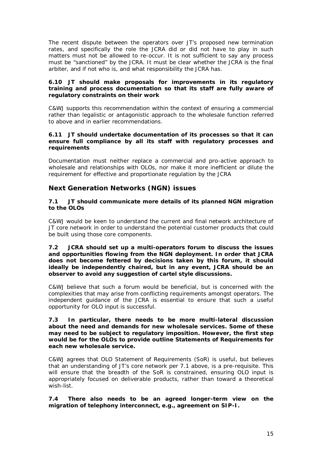The recent dispute between the operators over JT's proposed new termination rates, and specifically the role the JCRA did or did not have to play in such matters must not be allowed to re-occur. It is not sufficient to say any process must be "sanctioned" by the JCRA. It must be clear whether the JCRA is the final arbiter, and if not who is, and what responsibility the JCRA has.

#### **6.10 JT should make proposals for improvements in its regulatory training and process documentation so that its staff are fully aware of regulatory constraints on their work**

C&WJ supports this recommendation within the context of ensuring a commercial rather than legalistic or antagonistic approach to the wholesale function referred to above and in earlier recommendations.

#### **6.11 JT should undertake documentation of its processes so that it can ensure full compliance by all its staff with regulatory processes and requirements**

Documentation must neither replace a commercial and pro-active approach to wholesale and relationships with OLOs, nor make it more inefficient or dilute the requirement for effective and proportionate regulation by the JCRA

## **Next Generation Networks (NGN) issues**

#### **7.1 JT should communicate more details of its planned NGN migration to the OLOs**

C&WJ would be keen to understand the current and final network architecture of JT core network in order to understand the potential customer products that could be built using those core components.

#### **7.2 JCRA should set up a multi-operators forum to discuss the issues and opportunities flowing from the NGN deployment. In order that JCRA does not become fettered by decisions taken by this forum, it should ideally be independently chaired, but in any event, JCRA should be an observer to avoid any suggestion of cartel style discussions.**

C&WJ believe that such a forum would be beneficial, but is concerned with the complexities that may arise from conflicting requirements amongst operators. The independent guidance of the JCRA is essential to ensure that such a useful opportunity for OLO input is successful.

#### **7.3 In particular, there needs to be more multi-lateral discussion about the need and demands for new wholesale services. Some of these may need to be subject to regulatory imposition. However, the first step would be for the OLOs to provide outline Statements of Requirements for each new wholesale service.**

C&WJ agrees that OLO Statement of Requirements (SoR) is useful, but believes that an understanding of JT's core network per 7.1 above, is a pre-requisite. This will ensure that the breadth of the SoR is constrained, ensuring OLO input is appropriately focused on deliverable products, rather than toward a theoretical wish-list.

**7.4 There also needs to be an agreed longer-term view on the migration of telephony interconnect, e.g., agreement on SIP-I.**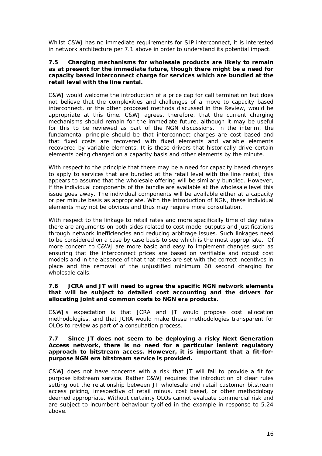Whilst C&WJ has no immediate requirements for SIP interconnect, it is interested in network architecture per 7.1 above in order to understand its potential impact.

#### **7.5 Charging mechanisms for wholesale products are likely to remain as at present for the immediate future, though there might be a need for capacity based interconnect charge for services which are bundled at the retail level with the line rental.**

C&WJ would welcome the introduction of a price cap for call termination but does not believe that the complexities and challenges of a move to capacity based interconnect, or the other proposed methods discussed in the Review, would be appropriate at this time. C&WJ agrees, therefore, that the current charging mechanisms should remain for the immediate future, although it may be useful for this to be reviewed as part of the NGN discussions. In the interim, the fundamental principle should be that interconnect charges are cost based and that fixed costs are recovered with fixed elements and variable elements recovered by variable elements. It is these drivers that historically drive certain elements being charged on a capacity basis and other elements by the minute.

With respect to the principle that there may be a need for capacity based charges to apply to services that are bundled at the retail level with the line rental, this appears to assume that the wholesale offering will be similarly bundled. However, if the individual components of the bundle are available at the wholesale level this issue goes away. The individual components will be available either at a capacity or per minute basis as appropriate. With the introduction of NGN, these individual elements may not be obvious and thus may require more consultation.

With respect to the linkage to retail rates and more specifically time of day rates there are arguments on both sides related to cost model outputs and justifications through network inefficiencies and reducing arbitrage issues. Such linkages need to be considered on a case by case basis to see which is the most appropriate. Of more concern to C&WJ are more basic and easy to implement changes such as ensuring that the interconnect prices are based on verifiable and robust cost models and in the absence of that that rates are set with the correct incentives in place and the removal of the unjustified minimum 60 second charging for wholesale calls.

#### **7.6 JCRA and JT will need to agree the specific NGN network elements that will be subject to detailed cost accounting and the drivers for allocating joint and common costs to NGN era products.**

C&WJ's expectation is that JCRA and JT would propose cost allocation methodologies, and that JCRA would make these methodologies transparent for OLOs to review as part of a consultation process.

#### **7.7 Since JT does not seem to be deploying a risky Next Generation Access network, there is no need for a particular lenient regulatory approach to bitstream access. However, it is important that a fit-forpurpose NGN era bitstream service is provided.**

C&WJ does not have concerns with a risk that JT will fail to provide a fit for purpose bitstream service. Rather C&WJ requires the introduction of clear rules setting out the relationship between JT wholesale and retail customer bitstream access pricing, irrespective of retail minus, cost based, or other methodology deemed appropriate. Without certainty OLOs cannot evaluate commercial risk and are subject to incumbent behaviour typified in the example in response to 5.24 above.